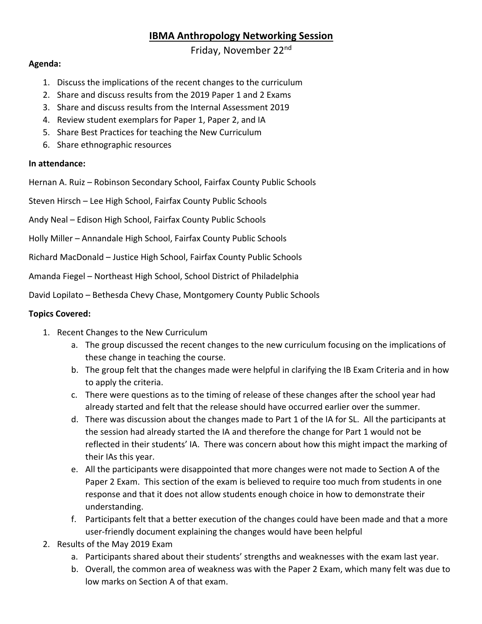## **IBMA Anthropology Networking Session**

Friday, November 22nd

## **Agenda:**

- 1. Discuss the implications of the recent changes to the curriculum
- 2. Share and discuss results from the 2019 Paper 1 and 2 Exams
- 3. Share and discuss results from the Internal Assessment 2019
- 4. Review student exemplars for Paper 1, Paper 2, and IA
- 5. Share Best Practices for teaching the New Curriculum
- 6. Share ethnographic resources

## **In attendance:**

Hernan A. Ruiz – Robinson Secondary School, Fairfax County Public Schools

Steven Hirsch – Lee High School, Fairfax County Public Schools

Andy Neal – Edison High School, Fairfax County Public Schools

Holly Miller – Annandale High School, Fairfax County Public Schools

Richard MacDonald – Justice High School, Fairfax County Public Schools

Amanda Fiegel – Northeast High School, School District of Philadelphia

David Lopilato – Bethesda Chevy Chase, Montgomery County Public Schools

## **Topics Covered:**

- 1. Recent Changes to the New Curriculum
	- a. The group discussed the recent changes to the new curriculum focusing on the implications of these change in teaching the course.
	- b. The group felt that the changes made were helpful in clarifying the IB Exam Criteria and in how to apply the criteria.
	- c. There were questions as to the timing of release of these changes after the school year had already started and felt that the release should have occurred earlier over the summer.
	- d. There was discussion about the changes made to Part 1 of the IA for SL. All the participants at the session had already started the IA and therefore the change for Part 1 would not be reflected in their students' IA. There was concern about how this might impact the marking of their IAs this year.
	- e. All the participants were disappointed that more changes were not made to Section A of the Paper 2 Exam. This section of the exam is believed to require too much from students in one response and that it does not allow students enough choice in how to demonstrate their understanding.
	- f. Participants felt that a better execution of the changes could have been made and that a more user-friendly document explaining the changes would have been helpful
- 2. Results of the May 2019 Exam
	- a. Participants shared about their students' strengths and weaknesses with the exam last year.
	- b. Overall, the common area of weakness was with the Paper 2 Exam, which many felt was due to low marks on Section A of that exam.